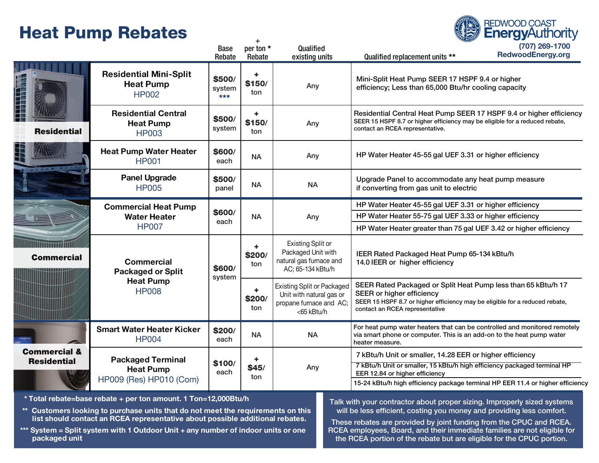# Heat Pump Rebates



Any

Commercial & Residential

 $\sim$ 

HP009 (Res) HP010 (Com)

\* Total rebate=base rebate + per ton amount. 1 Ton=12,000Btu/h

Packaged Terminal Heat Pump

\*\* Customers looking to purchase units that do not meet the requirements on this list should contact an RCEA representative about possible additional rebates.

+ \$45/ ton

\$100/ each

\*\*\* System = Split system with 1 Outdoor Unit + any number of indoor units or one packaged unit

Talk with your contractor about proper sizing. Improperly sized systems will be less efficient, costing you money and providing less comfort.

7 kBtu/h Unit or smaller, 14.28 EER or higher efficiency

EER 12.84 or higher efficiency

7 kBtu/h Unit or smaller, 15 kBtu/h high efficiency packaged terminal HP

15-24 kBtu/h high efficiency package terminal HP EER 11.4 or higher efficiency

**REDWOOD COAST** 

These rebates are provided by joint funding from the CPUC and RCEA. RCEA employees, Board, and their immediate families are not eligible for the RCEA portion of the rebate but are eligible for the CPUC portion.